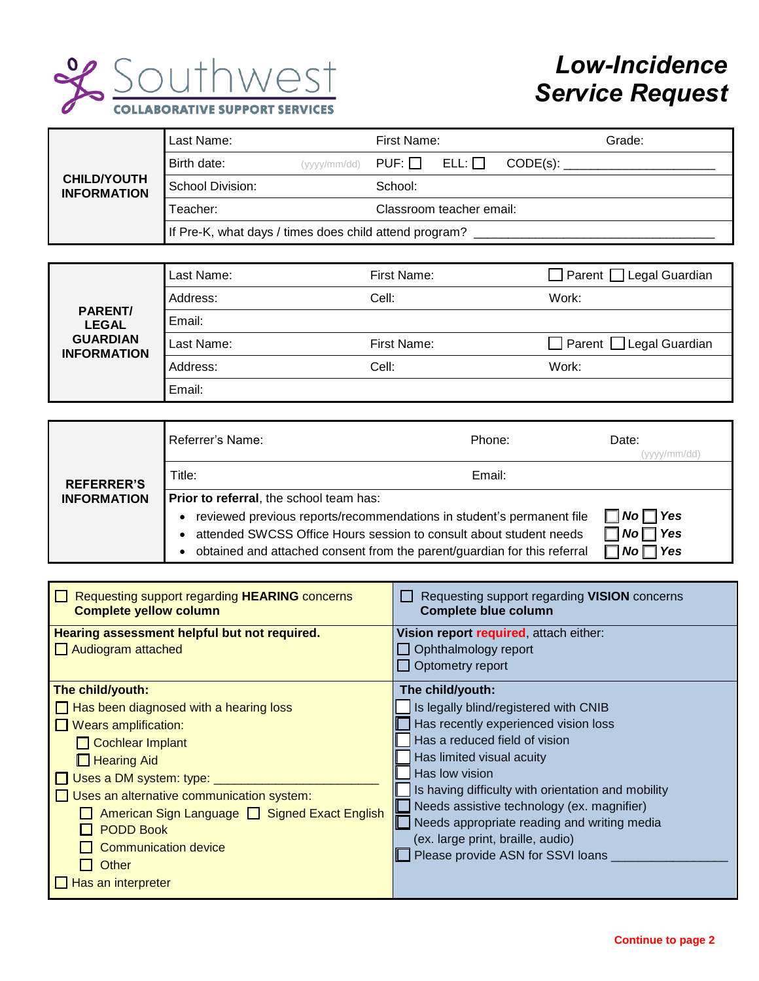

## *Low-Incidence Service Request*

|                                          | Last Name:                                             |                            | First Name: |             |          | Grade: |
|------------------------------------------|--------------------------------------------------------|----------------------------|-------------|-------------|----------|--------|
| <b>CHILD/YOUTH</b><br><b>INFORMATION</b> | Birth date:                                            | $(yyyy/mm/dd)$ PUF: $\Box$ |             | $ELL: \Box$ | CODE(s): |        |
|                                          | School Division:                                       |                            | School:     |             |          |        |
|                                          | Teacher:                                               | Classroom teacher email:   |             |             |          |        |
|                                          | If Pre-K, what days / times does child attend program? |                            |             |             |          |        |

| <b>PARENT/</b><br><b>LEGAL</b><br><b>GUARDIAN</b><br><b>INFORMATION</b> | Last Name: | First Name: | $\Box$ Parent $\Box$ Legal Guardian |
|-------------------------------------------------------------------------|------------|-------------|-------------------------------------|
|                                                                         | Address:   | Cell:       | Work:                               |
|                                                                         | Email:     |             |                                     |
|                                                                         | Last Name: | First Name: | $\Box$ Parent $\Box$ Legal Guardian |
|                                                                         | Address:   | Cell:       | Work:                               |
|                                                                         |            |             |                                     |

| <b>REFERRER'S</b><br><b>INFORMATION</b> | Referrer's Name:                                                                      | Phone:               | Date:              |  |
|-----------------------------------------|---------------------------------------------------------------------------------------|----------------------|--------------------|--|
|                                         | Title:                                                                                | Email:               |                    |  |
|                                         | Prior to referral, the school team has:                                               |                      |                    |  |
|                                         | reviewed previous reports/recommendations in student's permanent file<br>٠            | $\Box$ No $\Box$ Yes |                    |  |
|                                         | attended SWCSS Office Hours session to consult about student needs<br>٠               |                      | 7 Yes<br><b>No</b> |  |
|                                         | obtained and attached consent from the parent/guardian for this referral<br>$\bullet$ |                      | Yes                |  |

| Requesting support regarding HEARING concerns<br><b>Complete yellow column</b> | Requesting support regarding VISION concerns<br><b>Complete blue column</b> |
|--------------------------------------------------------------------------------|-----------------------------------------------------------------------------|
| Hearing assessment helpful but not required.                                   | Vision report required, attach either:                                      |
| $\Box$ Audiogram attached                                                      | $\Box$ Ophthalmology report                                                 |
|                                                                                | Optometry report                                                            |
| The child/youth:                                                               | The child/youth:                                                            |
| $\Box$ Has been diagnosed with a hearing loss                                  | Is legally blind/registered with CNIB                                       |
| Wears amplification:                                                           | Has recently experienced vision loss                                        |
| Cochlear Implant                                                               | Has a reduced field of vision                                               |
| $\Box$ Hearing Aid                                                             | Has limited visual acuity                                                   |
| $\Box$ Uses a DM system: type: $\Box$                                          | Has low vision                                                              |
| $\Box$ Uses an alternative communication system:                               | Is having difficulty with orientation and mobility                          |
| American Sign Language □ Signed Exact English                                  | Needs assistive technology (ex. magnifier)                                  |
| <b>PODD Book</b>                                                               | Needs appropriate reading and writing media                                 |
| <b>Communication device</b>                                                    | (ex. large print, braille, audio)                                           |
| Other                                                                          | Please provide ASN for SSVI loans                                           |
|                                                                                |                                                                             |
| $\Box$ Has an interpreter                                                      |                                                                             |